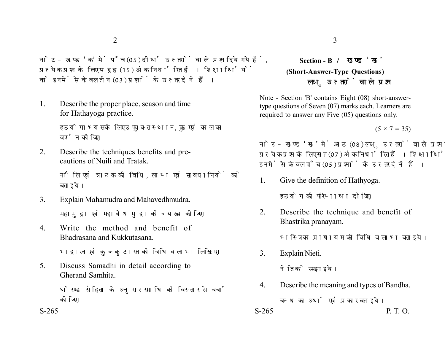नोट- खण्ड 'क' में पाँच (05) दीर्घ उत्तरों वाले प्रश्न दिये गये हैं. प्रत्येक प्रश्न के लिए पन्द्रह (15) अंक निर्धारित हैं। शिक्षार्थियों को इनमें से केवल तीन (03) प्रश्नों के उत्तर देने हैं।

1. Describe the proper place, season and time for Hathayoga practice.

> हठयोगाभ्यास के लिए उपयुक्त स्थान, ऋतु एवं काल का वर्णन कोजिए।

2. Describe the techniques benefits and precautions of Nuili and Tratak.

> नौलि एवं त्राटक की विधि. लाभ एवं सावधानियों को बताइये।

- 3. Explain Mahamudra and Mahavedhmudra. महामुद्रा एवं महावेध मुद्रा की व्याख्या कीजिए।
- 4. Write the method and benefit of Bhadrasana and Kukkutasana.

भद्रासन एवं कुक्कुटासन की विधि व लाभ लिखिए।

5. Discuss Samadhi in detail according to Gherand Samhita.

> घेरण्ड संहिता के अनुसार समाधि की विस्तार से चर्चा कोजिए।

## **Section - B (Short-Answer-Type Questions)** लघ उत्तरों वाले प्रश्न

Note - Section 'B' contains Eight (08) short-answertype questions of Seven (07) marks each. Learners are required to answer any Five (05) questions only.

 $(5 \times 7 = 35)$ 

नोट- खण्ड 'ख' में आठ (08) लघु उत्तरों वाले प्रश्न दिये गये हैं, प्रत्येक प्रश्न के लिए सात (07) अंक निर्धारित हैं। शिक्षार्थियों को इनमें से केवल पाँच (05) प्रश्नों के उत्तर देने हैं।

1. Give the definition of Hathyoga.

हठयोग की परिभाषा दीजिए।

2. Describe the technique and benefit of Bhastrika pranayam.

भस्त्रिका प्राणायाम की विधि व लाभ बताइये।

3. Explain Nieti.

नेति को समझाइये।

4. Describe the meaning and types of Bandha. बन्ध का अर्थ एवं प्रकार बताइये।

```
S-265 P. T. O.
```